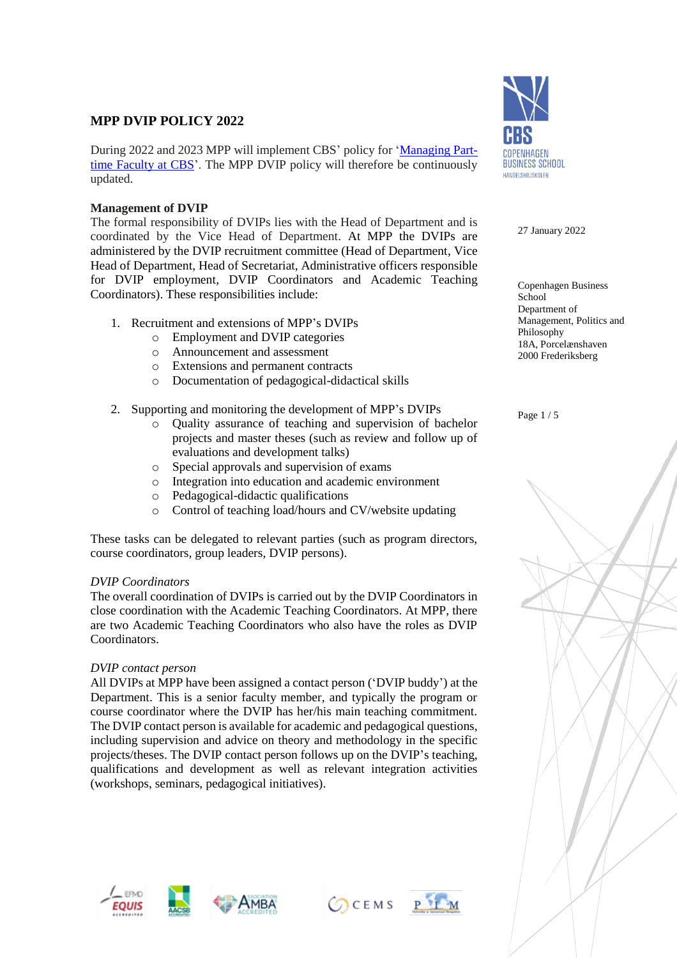# **MPP DVIP POLICY 2022**

During 2022 and 2023 MPP will implement CBS' policy for ['Managing](https://www.cbs.dk/files/cbs.dk/managing_part-time_faculty_at_cbs.pdf) Part-time [Faculty](https://www.cbs.dk/files/cbs.dk/managing_part-time_faculty_at_cbs.pdf) at CBS'. The MPP DVIP policy will therefore be continuously updated.

# **Management of DVIP**

The formal responsibility of DVIPs lies with the Head of Department and is coordinated by the Vice Head of Department. At MPP the DVIPs are administered by the DVIP recruitment committee (Head of Department, Vice Head of Department, Head of Secretariat, Administrative officers responsible for DVIP employment, DVIP Coordinators and Academic Teaching Coordinators). These responsibilities include:

- 1. Recruitment and extensions of MPP's DVIPs
	- o Employment and DVIP categories
	- o Announcement and assessment
	- o Extensions and permanent contracts
	- o Documentation of pedagogical-didactical skills
- 2. Supporting and monitoring the development of MPP's DVIPs
	- o Quality assurance of teaching and supervision of bachelor projects and master theses (such as review and follow up of evaluations and development talks)
	- o Special approvals and supervision of exams
	- o Integration into education and academic environment
	- o Pedagogical-didactic qualifications
	- o Control of teaching load/hours and CV/website updating

These tasks can be delegated to relevant parties (such as program directors, course coordinators, group leaders, DVIP persons).

# *DVIP Coordinators*

The overall coordination of DVIPs is carried out by the DVIP Coordinators in close coordination with the Academic Teaching Coordinators. At MPP, there are two Academic Teaching Coordinators who also have the roles as DVIP Coordinators.

# *DVIP contact person*

All DVIPs at MPP have been assigned a contact person ('DVIP buddy') at the Department. This is a senior faculty member, and typically the program or course coordinator where the DVIP has her/his main teaching commitment. The DVIP contact person is available for academic and pedagogical questions, including supervision and advice on theory and methodology in the specific projects/theses. The DVIP contact person follows up on the DVIP's teaching, qualifications and development as well as relevant integration activities (workshops, seminars, pedagogical initiatives).







CCEMS PIM



27 January 2022

Copenhagen Business School Department of Management, Politics and Philosophy 18A, Porcelænshaven 2000 Frederiksberg

Page 1 / 5

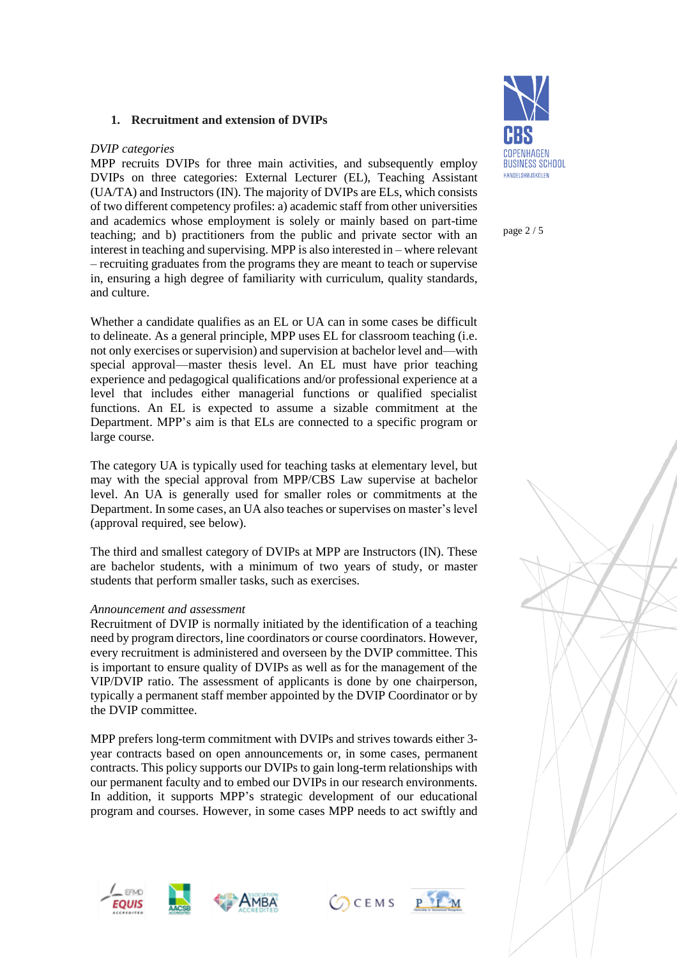### **1. Recruitment and extension of DVIPs**

### *DVIP categories*

MPP recruits DVIPs for three main activities, and subsequently employ DVIPs on three categories: External Lecturer (EL), Teaching Assistant (UA/TA) and Instructors (IN). The majority of DVIPs are ELs, which consists of two different competency profiles: a) academic staff from other universities and academics whose employment is solely or mainly based on part-time teaching; and b) practitioners from the public and private sector with an interest in teaching and supervising. MPP is also interested in – where relevant – recruiting graduates from the programs they are meant to teach or supervise in, ensuring a high degree of familiarity with curriculum, quality standards, and culture.

Whether a candidate qualifies as an EL or UA can in some cases be difficult to delineate. As a general principle, MPP uses EL for classroom teaching (i.e. not only exercises or supervision) and supervision at bachelor level and—with special approval—master thesis level. An EL must have prior teaching experience and pedagogical qualifications and/or professional experience at a level that includes either managerial functions or qualified specialist functions. An EL is expected to assume a sizable commitment at the Department. MPP's aim is that ELs are connected to a specific program or large course.

The category UA is typically used for teaching tasks at elementary level, but may with the special approval from MPP/CBS Law supervise at bachelor level. An UA is generally used for smaller roles or commitments at the Department. In some cases, an UA also teaches or supervises on master's level (approval required, see below).

The third and smallest category of DVIPs at MPP are Instructors (IN). These are bachelor students, with a minimum of two years of study, or master students that perform smaller tasks, such as exercises.

#### *Announcement and assessment*

Recruitment of DVIP is normally initiated by the identification of a teaching need by program directors, line coordinators or course coordinators. However, every recruitment is administered and overseen by the DVIP committee. This is important to ensure quality of DVIPs as well as for the management of the VIP/DVIP ratio. The assessment of applicants is done by one chairperson, typically a permanent staff member appointed by the DVIP Coordinator or by the DVIP committee.

MPP prefers long-term commitment with DVIPs and strives towards either 3 year contracts based on open announcements or, in some cases, permanent contracts. This policy supports our DVIPs to gain long-term relationships with our permanent faculty and to embed our DVIPs in our research environments. In addition, it supports MPP's strategic development of our educational program and courses. However, in some cases MPP needs to act swiftly and









page 2 / 5

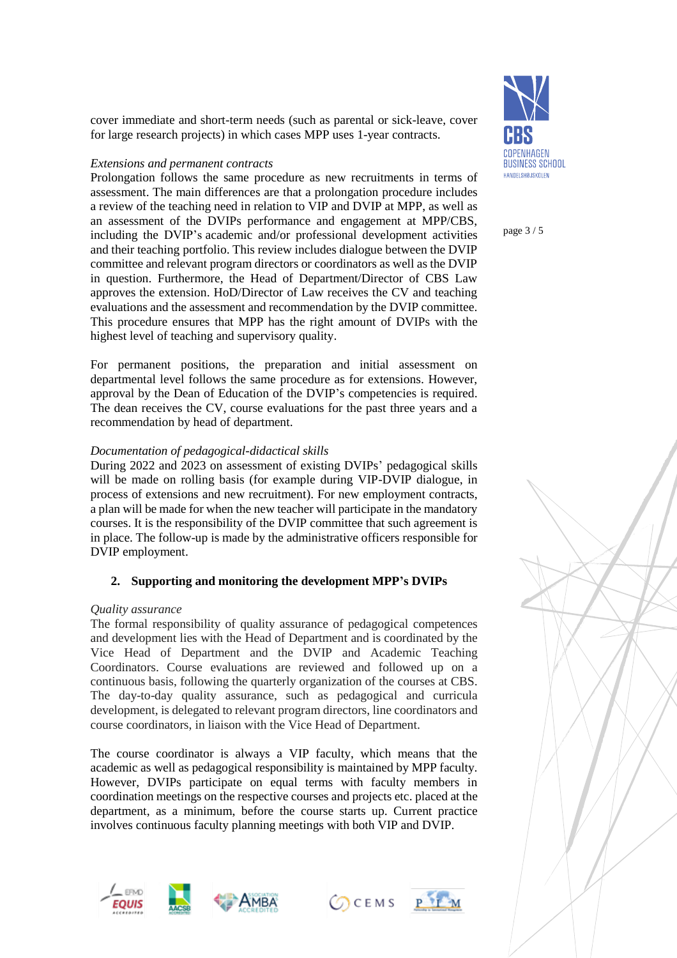cover immediate and short-term needs (such as parental or sick-leave, cover for large research projects) in which cases MPP uses 1-year contracts.

### *Extensions and permanent contracts*

Prolongation follows the same procedure as new recruitments in terms of assessment. The main differences are that a prolongation procedure includes a review of the teaching need in relation to VIP and DVIP at MPP, as well as an assessment of the DVIPs performance and engagement at MPP/CBS, including the DVIP's academic and/or professional development activities and their teaching portfolio. This review includes dialogue between the DVIP committee and relevant program directors or coordinators as well as the DVIP in question. Furthermore, the Head of Department/Director of CBS Law approves the extension. HoD/Director of Law receives the CV and teaching evaluations and the assessment and recommendation by the DVIP committee. This procedure ensures that MPP has the right amount of DVIPs with the highest level of teaching and supervisory quality.

For permanent positions, the preparation and initial assessment on departmental level follows the same procedure as for extensions. However, approval by the Dean of Education of the DVIP's competencies is required. The dean receives the CV, course evaluations for the past three years and a recommendation by head of department.

# *Documentation of pedagogical-didactical skills*

During 2022 and 2023 on assessment of existing DVIPs' pedagogical skills will be made on rolling basis (for example during VIP-DVIP dialogue, in process of extensions and new recruitment). For new employment contracts, a plan will be made for when the new teacher will participate in the mandatory courses. It is the responsibility of the DVIP committee that such agreement is in place. The follow-up is made by the administrative officers responsible for DVIP employment.

# **2. Supporting and monitoring the development MPP's DVIPs**

### *Quality assurance*

The formal responsibility of quality assurance of pedagogical competences and development lies with the Head of Department and is coordinated by the Vice Head of Department and the DVIP and Academic Teaching Coordinators. Course evaluations are reviewed and followed up on a continuous basis, following the quarterly organization of the courses at CBS. The day-to-day quality assurance, such as pedagogical and curricula development, is delegated to relevant program directors, line coordinators and course coordinators, in liaison with the Vice Head of Department.

The course coordinator is always a VIP faculty, which means that the academic as well as pedagogical responsibility is maintained by MPP faculty. However, DVIPs participate on equal terms with faculty members in coordination meetings on the respective courses and projects etc. placed at the department, as a minimum, before the course starts up. Current practice involves continuous faculty planning meetings with both VIP and DVIP.









page 3 / 5

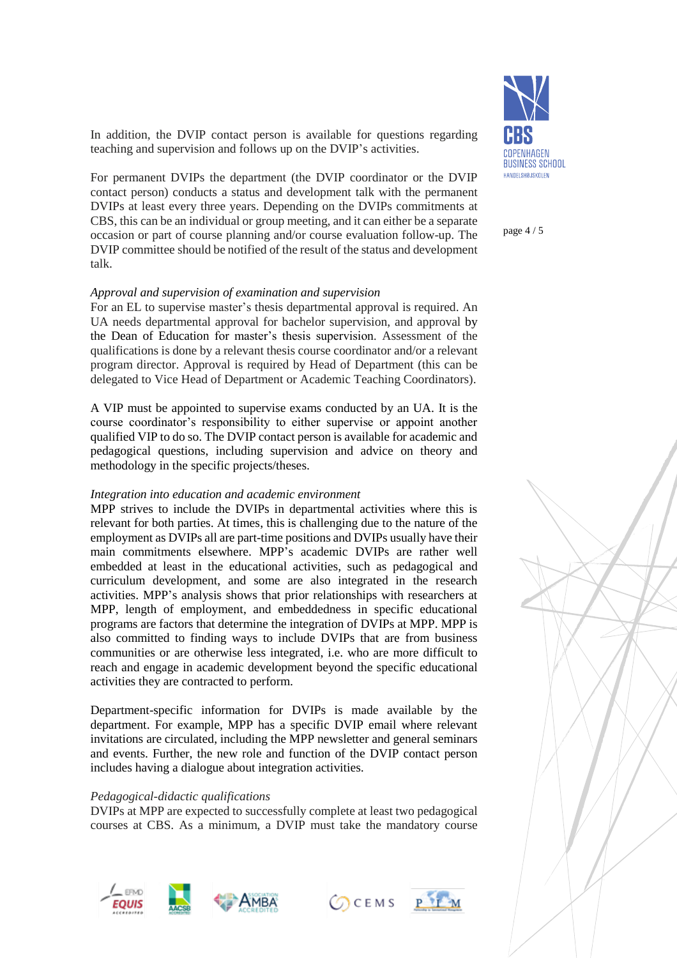In addition, the DVIP contact person is available for questions regarding teaching and supervision and follows up on the DVIP's activities.

For permanent DVIPs the department (the DVIP coordinator or the DVIP contact person) conducts a status and development talk with the permanent DVIPs at least every three years. Depending on the DVIPs commitments at CBS, this can be an individual or group meeting, and it can either be a separate occasion or part of course planning and/or course evaluation follow-up. The DVIP committee should be notified of the result of the status and development talk.

#### *Approval and supervision of examination and supervision*

For an EL to supervise master's thesis departmental approval is required. An UA needs departmental approval for bachelor supervision, and approval by the Dean of Education for master's thesis supervision. Assessment of the qualifications is done by a relevant thesis course coordinator and/or a relevant program director. Approval is required by Head of Department (this can be delegated to Vice Head of Department or Academic Teaching Coordinators).

A VIP must be appointed to supervise exams conducted by an UA. It is the course coordinator's responsibility to either supervise or appoint another qualified VIP to do so. The DVIP contact person is available for academic and pedagogical questions, including supervision and advice on theory and methodology in the specific projects/theses.

#### *Integration into education and academic environment*

MPP strives to include the DVIPs in departmental activities where this is relevant for both parties. At times, this is challenging due to the nature of the employment as DVIPs all are part-time positions and DVIPs usually have their main commitments elsewhere. MPP's academic DVIPs are rather well embedded at least in the educational activities, such as pedagogical and curriculum development, and some are also integrated in the research activities. MPP's analysis shows that prior relationships with researchers at MPP, length of employment, and embeddedness in specific educational programs are factors that determine the integration of DVIPs at MPP. MPP is also committed to finding ways to include DVIPs that are from business communities or are otherwise less integrated, i.e. who are more difficult to reach and engage in academic development beyond the specific educational activities they are contracted to perform.

Department-specific information for DVIPs is made available by the department. For example, MPP has a specific DVIP email where relevant invitations are circulated, including the MPP newsletter and general seminars and events. Further, the new role and function of the DVIP contact person includes having a dialogue about integration activities.

#### *Pedagogical-didactic qualifications*

DVIPs at MPP are expected to successfully complete at least two pedagogical courses at CBS. As a minimum, a DVIP must take the mandatory course











page 4 / 5